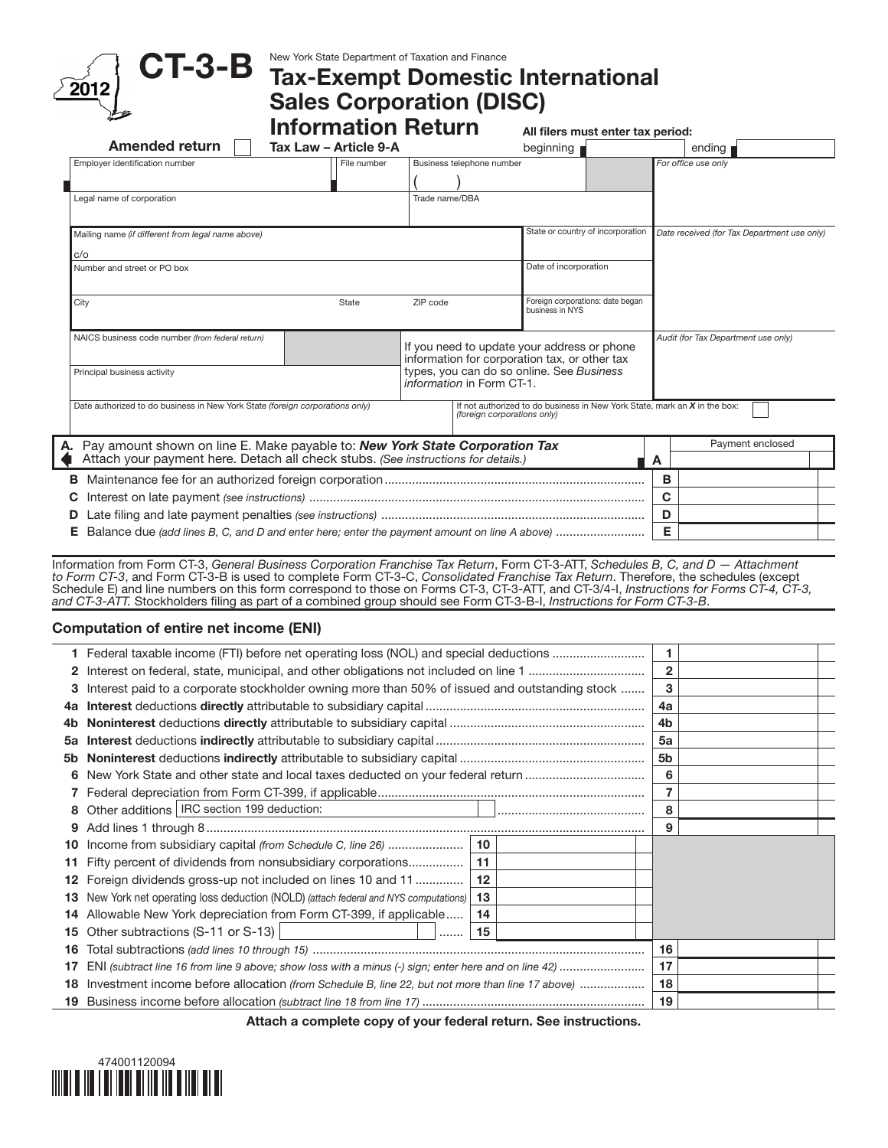

# CT-3-B New York State Department of Taxation and Finance<br>CT-3-B Tax-Exempt Domestic International Sales Corporation (DISC)

| مستعجا                                                                                                                                                                 | <b>Information Return</b> |                                                                                              | All filers must enter tax period:                   |                                                                             |
|------------------------------------------------------------------------------------------------------------------------------------------------------------------------|---------------------------|----------------------------------------------------------------------------------------------|-----------------------------------------------------|-----------------------------------------------------------------------------|
| <b>Amended return</b>                                                                                                                                                  | Tax Law - Article 9-A     |                                                                                              | beginning                                           | ending p                                                                    |
| Employer identification number                                                                                                                                         | File number               | Business telephone number                                                                    |                                                     | For office use only                                                         |
| Legal name of corporation                                                                                                                                              |                           | Trade name/DBA                                                                               |                                                     |                                                                             |
| Mailing name (if different from legal name above)                                                                                                                      |                           |                                                                                              | State or country of incorporation                   | Date received (for Tax Department use only)                                 |
| C/O<br>Number and street or PO box                                                                                                                                     |                           |                                                                                              | Date of incorporation                               |                                                                             |
| City                                                                                                                                                                   | State                     | ZIP code                                                                                     | Foreign corporations: date began<br>business in NYS |                                                                             |
| NAICS business code number (from federal return)                                                                                                                       |                           | If you need to update your address or phone<br>information for corporation tax, or other tax |                                                     | Audit (for Tax Department use only)                                         |
| Principal business activity                                                                                                                                            |                           | types, you can do so online. See Business<br>information in Form CT-1.                       |                                                     |                                                                             |
| Date authorized to do business in New York State (foreign corporations only)                                                                                           |                           | (foreign corporations only)                                                                  |                                                     | If not authorized to do business in New York State, mark an $X$ in the box: |
| Pay amount shown on line E. Make payable to: New York State Corporation Tax<br>А.<br>Attach your payment here. Detach all check stubs. (See instructions for details.) |                           |                                                                                              |                                                     | Payment enclosed<br>A                                                       |
| В                                                                                                                                                                      |                           |                                                                                              |                                                     | в                                                                           |
|                                                                                                                                                                        |                           |                                                                                              |                                                     | C                                                                           |
|                                                                                                                                                                        |                           |                                                                                              |                                                     | D                                                                           |
|                                                                                                                                                                        |                           |                                                                                              |                                                     | Е                                                                           |

Information from Form CT-3, *General Business Corporation Franchise Tax Return*, Form CT-3-ATT, *Schedules B, C, and D — Attachment to Form CT-3*, and Form CT-3-B is used to complete Form CT-3-C, *Consolidated Franchise Tax Return*. Therefore, the schedules (except Schedule E) and line numbers on this form correspond to those on Forms CT-3, CT-3-ATT, and CT-3/4-I, *Instructions for Forms CT-4, CT-3, and CT-3-ATT.* Stockholders filing as part of a combined group should see Form CT-3-B-I, *Instructions for Form CT-3-B*.

## Computation of entire net income (ENI)

|     | 1 Federal taxable income (FTI) before net operating loss (NOL) and special deductions                     |    |                |  |
|-----|-----------------------------------------------------------------------------------------------------------|----|----------------|--|
|     |                                                                                                           |    | 2              |  |
| 3   | Interest paid to a corporate stockholder owning more than 50% of issued and outstanding stock             |    | з              |  |
|     |                                                                                                           |    | 4a             |  |
| 4b. |                                                                                                           |    | 4 <sub>b</sub> |  |
| 5a  |                                                                                                           |    | 5a             |  |
|     |                                                                                                           |    | 5b             |  |
|     |                                                                                                           |    | 6              |  |
|     |                                                                                                           |    |                |  |
|     | 8 Other additions   IRC section 199 deduction:                                                            |    | 8              |  |
| 9   |                                                                                                           |    | 9              |  |
|     | 10 Income from subsidiary capital (from Schedule C, line 26)                                              | 10 |                |  |
|     | 11 Fifty percent of dividends from nonsubsidiary corporations                                             | 11 |                |  |
|     | 12 Foreign dividends gross-up not included on lines 10 and 11                                             | 12 |                |  |
|     | <b>13</b> New York net operating loss deduction (NOLD) (attach federal and NYS computations)              | 13 |                |  |
|     | 14 Allowable New York depreciation from Form CT-399, if applicable                                        | 14 |                |  |
|     | 15 Other subtractions (S-11 or S-13)<br>.                                                                 | 15 |                |  |
| 16  |                                                                                                           |    | 16             |  |
| 17  | ENI (subtract line 16 from line 9 above; show loss with a minus (-) sign; enter here and on line 42)      |    | 17             |  |
|     | <b>18</b> Investment income before allocation (from Schedule B, line 22, but not more than line 17 above) |    | 18             |  |
|     |                                                                                                           |    | 19             |  |
|     |                                                                                                           |    |                |  |

Attach a complete copy of your federal return. See instructions.

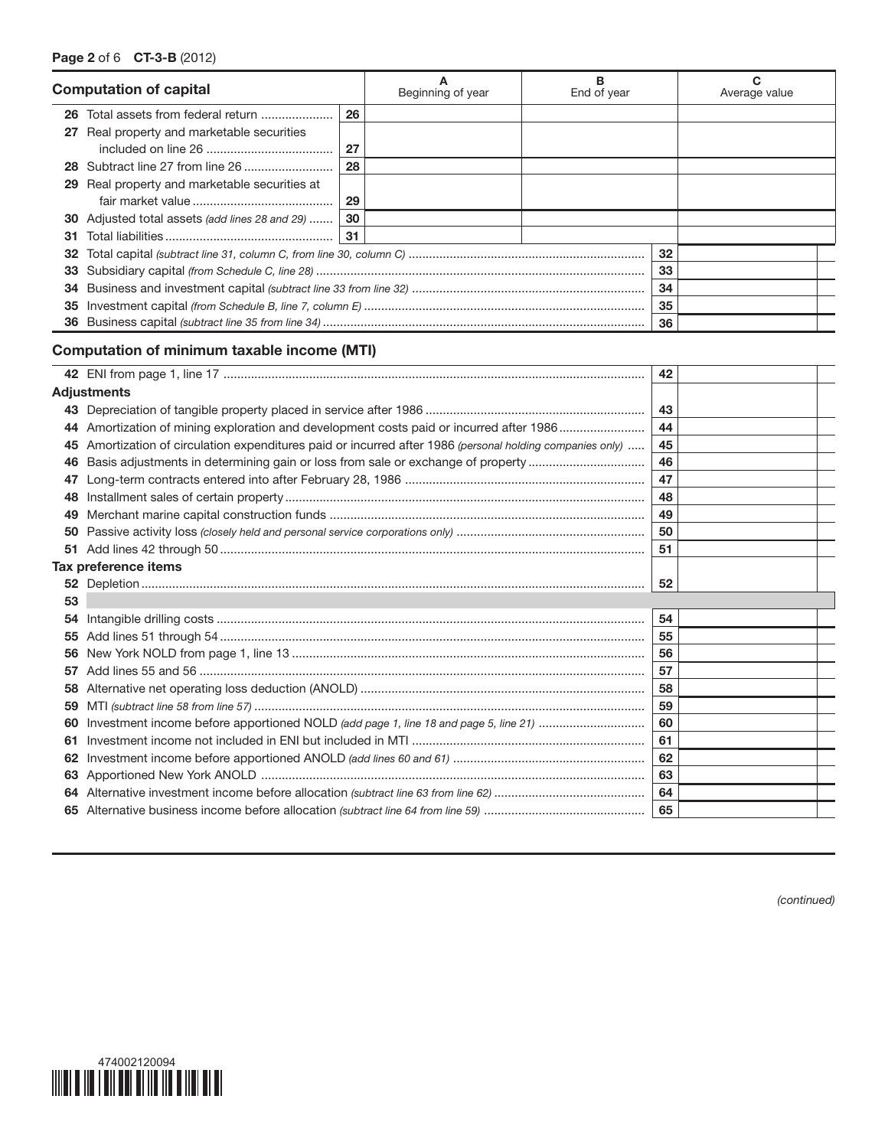| <b>Computation of capital</b> |                                                       | Beginning of year | B<br>End of year |  | Average value |  |
|-------------------------------|-------------------------------------------------------|-------------------|------------------|--|---------------|--|
|                               | 26 Total assets from federal return                   | 26                |                  |  |               |  |
|                               | 27 Real property and marketable securities            |                   |                  |  |               |  |
|                               |                                                       | 27                |                  |  |               |  |
|                               |                                                       | 28                |                  |  |               |  |
|                               | <b>29</b> Real property and marketable securities at  |                   |                  |  |               |  |
|                               |                                                       | 29                |                  |  |               |  |
|                               | <b>30</b> Adjusted total assets (add lines 28 and 29) | 30                |                  |  |               |  |
| 31                            |                                                       | 31                |                  |  |               |  |
| 32                            |                                                       |                   |                  |  | 32            |  |
| 33                            |                                                       |                   |                  |  | 33            |  |
| 34                            |                                                       |                   |                  |  | 34            |  |
| 35                            |                                                       |                   |                  |  | 35            |  |
| 36                            |                                                       |                   |                  |  | 36            |  |

# Computation of minimum taxable income (MTI)

|    |                                                                                                        | 42 |  |
|----|--------------------------------------------------------------------------------------------------------|----|--|
|    | Adjustments                                                                                            |    |  |
|    |                                                                                                        | 43 |  |
|    | 44 Amortization of mining exploration and development costs paid or incurred after 1986                | 44 |  |
| 45 | Amortization of circulation expenditures paid or incurred after 1986 (personal holding companies only) | 45 |  |
| 46 | Basis adjustments in determining gain or loss from sale or exchange of property                        | 46 |  |
| 47 |                                                                                                        | 47 |  |
| 48 |                                                                                                        | 48 |  |
| 49 |                                                                                                        | 49 |  |
| 50 |                                                                                                        | 50 |  |
|    |                                                                                                        | 51 |  |
|    | Tax preference items                                                                                   |    |  |
|    |                                                                                                        | 52 |  |
| 53 |                                                                                                        |    |  |
| 54 |                                                                                                        | 54 |  |
| 55 |                                                                                                        | 55 |  |
| 56 |                                                                                                        | 56 |  |
| 57 |                                                                                                        | 57 |  |
| 58 |                                                                                                        | 58 |  |
| 59 |                                                                                                        | 59 |  |
| 60 | Investment income before apportioned NOLD (add page 1, line 18 and page 5, line 21)                    | 60 |  |
| 61 |                                                                                                        | 61 |  |
| 62 |                                                                                                        | 62 |  |
|    |                                                                                                        | 63 |  |
|    |                                                                                                        | 64 |  |
|    |                                                                                                        |    |  |
|    |                                                                                                        | 65 |  |

*(continued)*

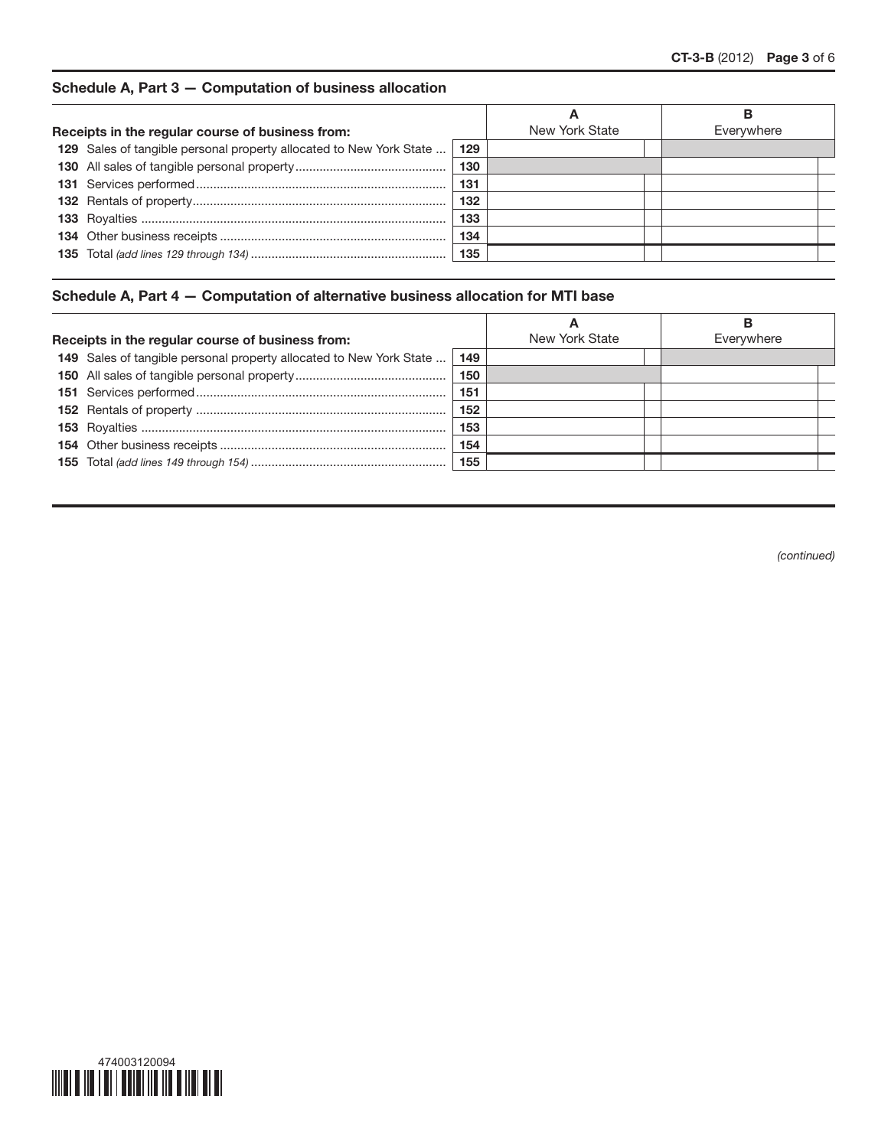# Schedule A, Part 3 — Computation of business allocation

|                                                  |                                                                     |     |                | В          |
|--------------------------------------------------|---------------------------------------------------------------------|-----|----------------|------------|
| Receipts in the regular course of business from: |                                                                     |     | New York State | Everywhere |
|                                                  | 129 Sales of tangible personal property allocated to New York State | 129 |                |            |
|                                                  |                                                                     | 130 |                |            |
|                                                  |                                                                     | 131 |                |            |
|                                                  |                                                                     | 132 |                |            |
|                                                  |                                                                     | 133 |                |            |
|                                                  |                                                                     | 134 |                |            |
|                                                  |                                                                     | 135 |                |            |
|                                                  |                                                                     |     |                |            |

## Schedule A, Part 4 — Computation of alternative business allocation for MTI base

| New York State<br>Everywhere<br>Receipts in the regular course of business from: | A |  |  |
|----------------------------------------------------------------------------------|---|--|--|
|                                                                                  |   |  |  |
| 149 Sales of tangible personal property allocated to New York State<br>149       |   |  |  |
| 150                                                                              |   |  |  |
| 151                                                                              |   |  |  |
| 152                                                                              |   |  |  |
| 153                                                                              |   |  |  |
| 154                                                                              |   |  |  |
| 155                                                                              |   |  |  |

*(continued)*

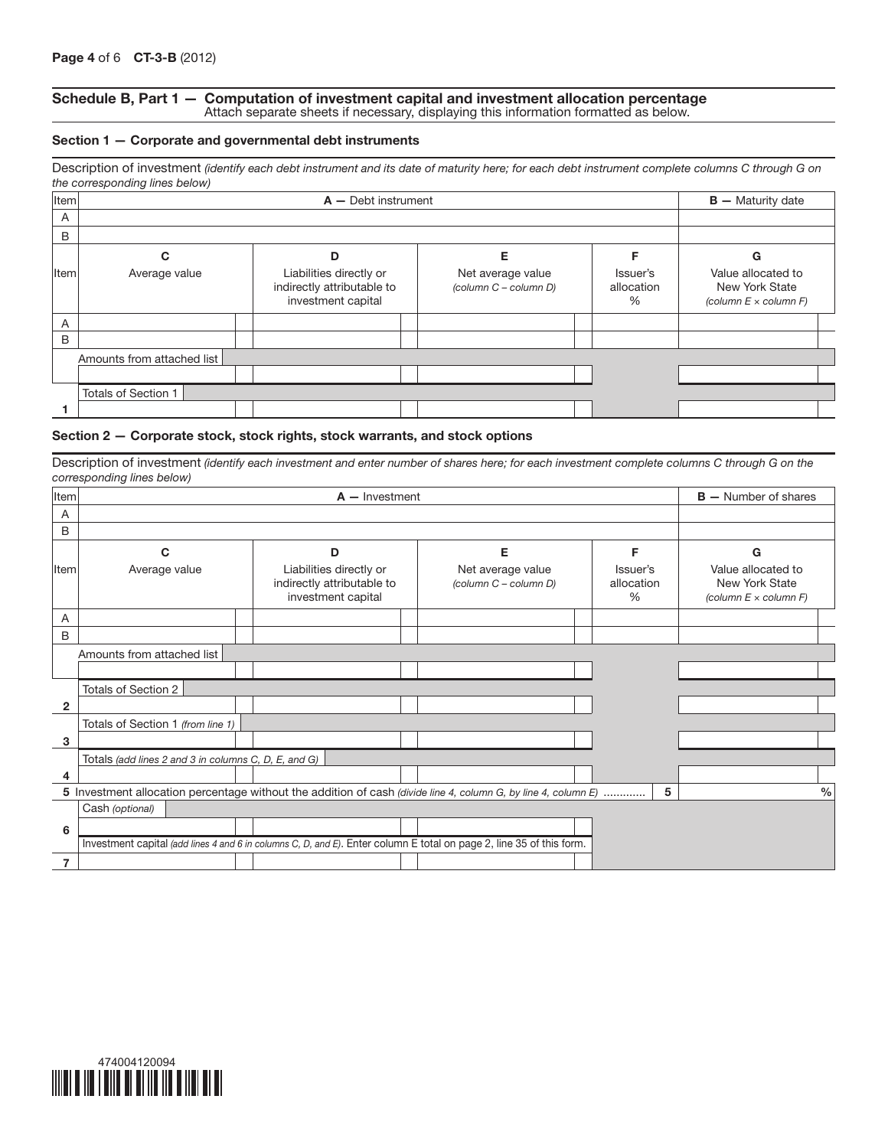#### Schedule B, Part 1 — Computation of investment capital and investment allocation percentage Attach separate sheets if necessary, displaying this information formatted as below.

#### Section 1 — Corporate and governmental debt instruments

|             | the corresponding lines below) | Description of investment (identify each debt instrument and its date of maturity here; for each debt instrument complete columns C through G on |                                            |                                |                                                                      |
|-------------|--------------------------------|--------------------------------------------------------------------------------------------------------------------------------------------------|--------------------------------------------|--------------------------------|----------------------------------------------------------------------|
| <b>Item</b> |                                |                                                                                                                                                  | $B -$ Maturity date                        |                                |                                                                      |
| A           |                                |                                                                                                                                                  |                                            |                                |                                                                      |
| B           |                                |                                                                                                                                                  |                                            |                                |                                                                      |
|             | С                              | D                                                                                                                                                | Е                                          |                                | G                                                                    |
| Item        | Average value                  | Liabilities directly or<br>indirectly attributable to<br>investment capital                                                                      | Net average value<br>(column C - column D) | Issuer's<br>allocation<br>$\%$ | Value allocated to<br>New York State<br>(column $E \times$ column F) |
| A           |                                |                                                                                                                                                  |                                            |                                |                                                                      |
| B           |                                |                                                                                                                                                  |                                            |                                |                                                                      |
|             | Amounts from attached list     |                                                                                                                                                  |                                            |                                |                                                                      |
|             |                                |                                                                                                                                                  |                                            |                                |                                                                      |
|             | <b>Totals of Section 1</b>     |                                                                                                                                                  |                                            |                                |                                                                      |
|             |                                |                                                                                                                                                  |                                            |                                |                                                                      |

#### Section 2 — Corporate stock, stock rights, stock warrants, and stock options

Description of investment *(identify each investment and enter number of shares here; for each investment complete columns C through G on the corresponding lines below)*

| Item         |                                                      | $B -$ Number of shares                                                      |   |                                                                           |                                                                                                                      |   |                                                                         |               |
|--------------|------------------------------------------------------|-----------------------------------------------------------------------------|---|---------------------------------------------------------------------------|----------------------------------------------------------------------------------------------------------------------|---|-------------------------------------------------------------------------|---------------|
| A            |                                                      |                                                                             |   |                                                                           |                                                                                                                      |   |                                                                         |               |
| B            |                                                      |                                                                             |   |                                                                           |                                                                                                                      |   |                                                                         |               |
|              | C                                                    |                                                                             | D |                                                                           | Е                                                                                                                    | F |                                                                         | G             |
| lltem        | Average value                                        | Liabilities directly or<br>indirectly attributable to<br>investment capital |   | Net average value<br>Issuer's<br>allocation<br>(column C - column D)<br>% |                                                                                                                      |   | Value allocated to<br>New York State<br>(column $E \times$ column $F$ ) |               |
| A            |                                                      |                                                                             |   |                                                                           |                                                                                                                      |   |                                                                         |               |
| B            |                                                      |                                                                             |   |                                                                           |                                                                                                                      |   |                                                                         |               |
|              | Amounts from attached list                           |                                                                             |   |                                                                           |                                                                                                                      |   |                                                                         |               |
|              |                                                      |                                                                             |   |                                                                           |                                                                                                                      |   |                                                                         |               |
|              | Totals of Section 2                                  |                                                                             |   |                                                                           |                                                                                                                      |   |                                                                         |               |
| $\mathbf{2}$ |                                                      |                                                                             |   |                                                                           |                                                                                                                      |   |                                                                         |               |
|              | Totals of Section 1 (from line 1)                    |                                                                             |   |                                                                           |                                                                                                                      |   |                                                                         |               |
| 3            |                                                      |                                                                             |   |                                                                           |                                                                                                                      |   |                                                                         |               |
|              | Totals (add lines 2 and 3 in columns C, D, E, and G) |                                                                             |   |                                                                           |                                                                                                                      |   |                                                                         |               |
| 4            |                                                      |                                                                             |   |                                                                           |                                                                                                                      |   |                                                                         |               |
|              |                                                      |                                                                             |   |                                                                           | 5 Investment allocation percentage without the addition of cash (divide line 4, column G, by line 4, column E)       |   | 5                                                                       | $\frac{0}{0}$ |
|              | Cash (optional)                                      |                                                                             |   |                                                                           |                                                                                                                      |   |                                                                         |               |
| 6            |                                                      |                                                                             |   |                                                                           |                                                                                                                      |   |                                                                         |               |
|              |                                                      |                                                                             |   |                                                                           | Investment capital (add lines 4 and 6 in columns C, D, and E). Enter column E total on page 2, line 35 of this form. |   |                                                                         |               |
| 7            |                                                      |                                                                             |   |                                                                           |                                                                                                                      |   |                                                                         |               |

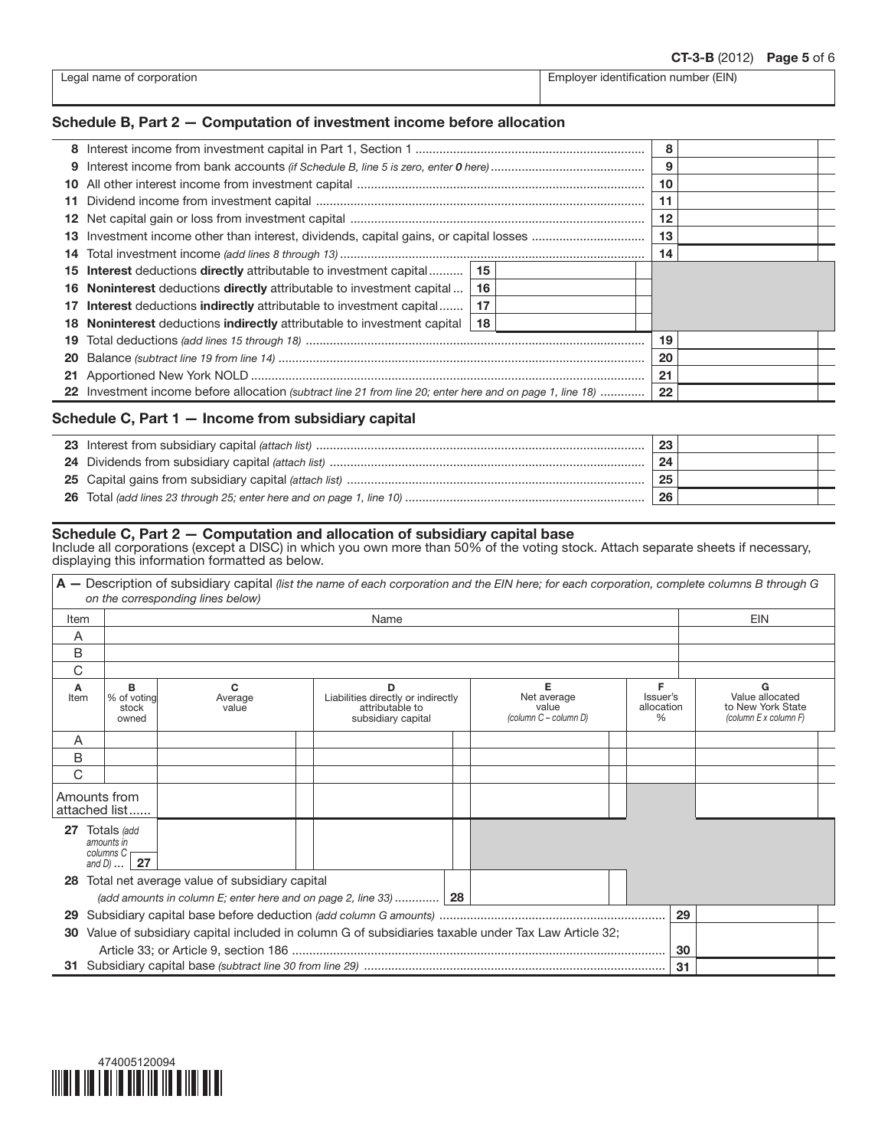| Legal name of corporation |  |
|---------------------------|--|
|---------------------------|--|

Employer identification number (EIN)

## Schedule B, Part 2 — Computation of investment income before allocation

|     |                                                                                                           | 8  |  |    |  |  |  |
|-----|-----------------------------------------------------------------------------------------------------------|----|--|----|--|--|--|
| 9   |                                                                                                           |    |  | 9  |  |  |  |
|     |                                                                                                           |    |  | 10 |  |  |  |
| 11  |                                                                                                           |    |  | 11 |  |  |  |
|     |                                                                                                           |    |  | 12 |  |  |  |
| 13. | Investment income other than interest, dividends, capital gains, or capital losses                        |    |  | 13 |  |  |  |
| 14  |                                                                                                           |    |  | 14 |  |  |  |
| 15. | <b>Interest</b> deductions <b>directly</b> attributable to investment capital                             | 15 |  |    |  |  |  |
| 16. | <b>Noninterest</b> deductions <b>directly</b> attributable to investment capital                          | 16 |  |    |  |  |  |
| 17  | <b>Interest</b> deductions <b>indirectly</b> attributable to investment capital                           | 17 |  |    |  |  |  |
| 18  | <b>Noninterest</b> deductions <b>indirectly</b> attributable to investment capital                        | 18 |  |    |  |  |  |
| 19  |                                                                                                           | 19 |  |    |  |  |  |
| 20  |                                                                                                           | 20 |  |    |  |  |  |
| 21  |                                                                                                           |    |  | 21 |  |  |  |
|     | 22 Investment income before allocation (subtract line 21 from line 20; enter here and on page 1, line 18) |    |  | 22 |  |  |  |

## Schedule C, Part 1 — Income from subsidiary capital

|  | 23 |  |
|--|----|--|
|  | 24 |  |
|  | 25 |  |
|  | 26 |  |

### Schedule C, Part 2 — Computation and allocation of subsidiary capital base

Include all corporations (except a DISC) in which you own more than 50% of the voting stock. Attach separate sheets if necessary, displaying this information formatted as below.

|           |                                                                                   | A - Description of subsidiary capital (list the name of each corporation and the EIN here; for each corporation, complete columns B through G<br>on the corresponding lines below) |                                                                                  |                                                    |                                     |    |                                                                    |
|-----------|-----------------------------------------------------------------------------------|------------------------------------------------------------------------------------------------------------------------------------------------------------------------------------|----------------------------------------------------------------------------------|----------------------------------------------------|-------------------------------------|----|--------------------------------------------------------------------|
| Item      |                                                                                   |                                                                                                                                                                                    | Name                                                                             |                                                    |                                     |    | <b>EIN</b>                                                         |
| A         |                                                                                   |                                                                                                                                                                                    |                                                                                  |                                                    |                                     |    |                                                                    |
| B         |                                                                                   |                                                                                                                                                                                    |                                                                                  |                                                    |                                     |    |                                                                    |
| C         |                                                                                   |                                                                                                                                                                                    |                                                                                  |                                                    |                                     |    |                                                                    |
| A<br>Item | в<br>% of voting<br>stock<br>owned                                                | C<br>Average<br>value                                                                                                                                                              | D<br>Liabilities directly or indirectly<br>attributable to<br>subsidiary capital | Е<br>Net average<br>value<br>(column C - column D) | F<br>Issuer's<br>allocation<br>$\%$ |    | G<br>Value allocated<br>to New York State<br>(column E x column F) |
| A         |                                                                                   |                                                                                                                                                                                    |                                                                                  |                                                    |                                     |    |                                                                    |
| B         |                                                                                   |                                                                                                                                                                                    |                                                                                  |                                                    |                                     |    |                                                                    |
| C         |                                                                                   |                                                                                                                                                                                    |                                                                                  |                                                    |                                     |    |                                                                    |
|           | Amounts from<br>attached list                                                     |                                                                                                                                                                                    |                                                                                  |                                                    |                                     |    |                                                                    |
| 27        | Totals (add<br>amounts in<br>columns C <sub>r</sub><br>$\overline{27}$<br>and $D$ |                                                                                                                                                                                    |                                                                                  |                                                    |                                     |    |                                                                    |
| 28        |                                                                                   | Total net average value of subsidiary capital                                                                                                                                      |                                                                                  |                                                    |                                     |    |                                                                    |
|           |                                                                                   | (add amounts in column E; enter here and on page 2, line 33)  28                                                                                                                   |                                                                                  |                                                    |                                     |    |                                                                    |
| 29        |                                                                                   |                                                                                                                                                                                    |                                                                                  |                                                    |                                     | 29 |                                                                    |
| 30        |                                                                                   | Value of subsidiary capital included in column G of subsidiaries taxable under Tax Law Article 32;                                                                                 |                                                                                  |                                                    |                                     |    |                                                                    |
|           |                                                                                   |                                                                                                                                                                                    |                                                                                  |                                                    |                                     | 30 |                                                                    |
|           |                                                                                   |                                                                                                                                                                                    |                                                                                  |                                                    |                                     | 31 |                                                                    |